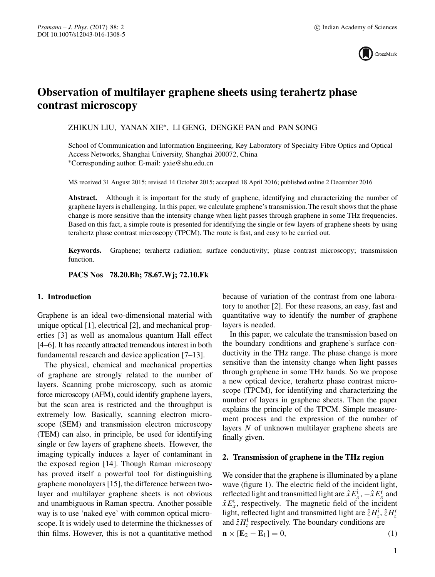

# **Observation of multilayer graphene sheets using terahertz phase contrast microscopy**

ZHIKUN LIU, YANAN XIE∗, LI GENG, DENGKE PAN and PAN SONG

School of Communication and Information Engineering, Key Laboratory of Specialty Fibre Optics and Optical Access Networks, Shanghai University, Shanghai 200072, China ∗Corresponding author. E-mail: yxie@shu.edu.cn

MS received 31 August 2015; revised 14 October 2015; accepted 18 April 2016; published online 2 December 2016

**Abstract.** Although it is important for the study of graphene, identifying and characterizing the number of graphene layers is challenging. In this paper, we calculate graphene's transmission.The result shows that the phase change is more sensitive than the intensity change when light passes through graphene in some THz frequencies. Based on this fact, a simple route is presented for identifying the single or few layers of graphene sheets by using terahertz phase contrast microscopy (TPCM). The route is fast, and easy to be carried out.

**Keywords.** Graphene; terahertz radiation; surface conductivity; phase contrast microscopy; transmission function.

**PACS Nos 78.20.Bh; 78.67.Wj; 72.10.Fk**

## **1. Introduction**

Graphene is an ideal two-dimensional material with unique optical [1], electrical [2], and mechanical properties [3] as well as anomalous quantum Hall effect [4–6]. It has recently attracted tremendous interest in both fundamental research and device application [7–13].

The physical, chemical and mechanical properties of graphene are strongly related to the number of layers. Scanning probe microscopy, such as atomic force microscopy (AFM), could identify graphene layers, but the scan area is restricted and the throughput is extremely low. Basically, scanning electron microscope (SEM) and transmission electron microscopy (TEM) can also, in principle, be used for identifying single or few layers of graphene sheets. However, the imaging typically induces a layer of contaminant in the exposed region [14]. Though Raman microscopy has proved itself a powerful tool for distinguishing graphene monolayers [15], the difference between twolayer and multilayer graphene sheets is not obvious and unambiguous in Raman spectra. Another possible way is to use 'naked eye' with common optical microscope. It is widely used to determine the thicknesses of thin films. However, this is not a quantitative method because of variation of the contrast from one laboratory to another [2]. For these reasons, an easy, fast and quantitative way to identify the number of graphene layers is needed.

In this paper, we calculate the transmission based on the boundary conditions and graphene's surface conductivity in the THz range. The phase change is more sensitive than the intensity change when light passes through graphene in some THz bands. So we propose a new optical device, terahertz phase contrast microscope (TPCM), for identifying and characterizing the number of layers in graphene sheets. Then the paper explains the principle of the TPCM. Simple measurement process and the expression of the number of layers N of unknown multilayer graphene sheets are finally given.

#### **2. Transmission of graphene in the THz region**

We consider that the graphene is illuminated by a plane wave (figure 1). The electric field of the incident light, reflected light and transmitted light are  $\hat{x} E_x^i$ ,  $-\hat{x} E_x^r$  and  $\hat{x} E_x^t$ , respectively. The magnetic field of the incident light, reflected light and transmitted light are  $\hat{z}H_z^i$ ,  $\hat{z}H_z^i$ and  $\hat{z}H_z^t$  respectively. The boundary conditions are

 $\mathbf{n} \times [\mathbf{E}_2 - \mathbf{E}_1] = 0,$  (1)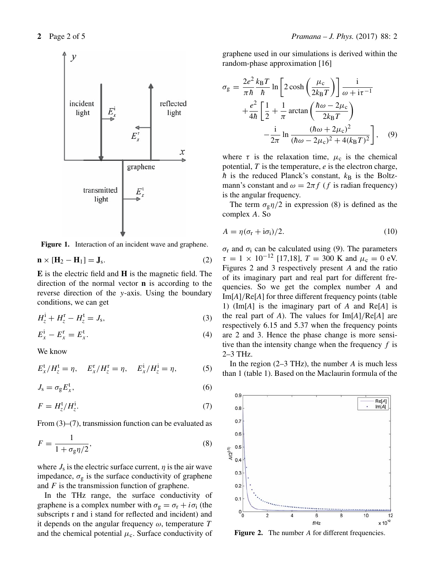

Figure 1. Interaction of an incident wave and graphene.

$$
\mathbf{n} \times [\mathbf{H}_2 - \mathbf{H}_1] = \mathbf{J}_s. \tag{2}
$$

**E** is the electric field and **H** is the magnetic field. The direction of the normal vector **n** is according to the reverse direction of the y-axis. Using the boundary conditions, we can get

$$
H_z^{\rm i} + H_z^{\rm r} - H_z^{\rm t} = J_{\rm s},\tag{3}
$$

$$
E_x^i - E_x^r = E_x^t. \tag{4}
$$

We know

$$
E_x^t/H_z^t = \eta
$$
,  $E_x^r/H_z^r = \eta$ ,  $E_x^i/H_z^i = \eta$ , (5)

$$
J_{\rm s} = \sigma_{\rm g} E_x^{\rm t},\tag{6}
$$

$$
F = H_z^{\rm t}/H_z^{\rm i}.\tag{7}
$$

From (3)–(7), transmission function can be evaluated as

$$
F = \frac{1}{1 + \sigma_{\rm g} \eta / 2},\tag{8}
$$

where  $J_s$  is the electric surface current,  $\eta$  is the air wave impedance,  $\sigma_{\rm g}$  is the surface conductivity of graphene and  $F$  is the transmission function of graphene.

In the THz range, the surface conductivity of graphene is a complex number with  $\sigma_{g} = \sigma_{r} + i\sigma_{i}$  (the subscripts r and i stand for reflected and incident) and it depends on the angular frequency  $\omega$ , temperature T and the chemical potential  $\mu_c$ . Surface conductivity of graphene used in our simulations is derived within the random-phase approximation [16]

$$
\sigma_{g} = \frac{2e^{2}}{\pi\hbar} \frac{k_{B}T}{\hbar} \ln \left[ 2 \cosh \left( \frac{\mu_{c}}{2k_{B}T} \right) \right] \frac{\mathrm{i}}{\omega + \mathrm{i}\tau^{-1}} + \frac{e^{2}}{4\hbar} \left[ \frac{1}{2} + \frac{1}{\pi} \arctan \left( \frac{\hbar \omega - 2\mu_{c}}{2k_{B}T} \right) - \frac{\mathrm{i}}{2\pi} \ln \frac{(\hbar \omega + 2\mu_{c})^{2}}{(\hbar \omega - 2\mu_{c})^{2} + 4(k_{B}T)^{2}} \right], \quad (9)
$$

where  $\tau$  is the relaxation time,  $\mu_c$  is the chemical potential,  $T$  is the temperature,  $e$  is the electron charge,  $\hbar$  is the reduced Planck's constant,  $k_B$  is the Boltzmann's constant and  $\omega = 2\pi f$  (f is radian frequency) is the angular frequency.

The term  $\sigma_{\rm g} \eta/2$  in expression (8) is defined as the complex A. So

$$
A = \eta(\sigma_{\rm r} + i\sigma_{\rm i})/2. \tag{10}
$$

 $\sigma$ <sub>r</sub> and  $\sigma$ <sub>i</sub> can be calculated using (9). The parameters  $\tau = 1 \times 10^{-12}$  [17,18],  $T = 300$  K and  $\mu_c = 0$  eV. Figures 2 and 3 respectively present A and the ratio of its imaginary part and real part for different frequencies. So we get the complex number A and Im[*A*]/Re[*A*] for three different frequency points (table 1) (Im[*A*] is the imaginary part of *A* and Re[*A*] is the real part of *A*). The values for Im[*A*]/Re[*A*] are respectively 6.15 and 5.37 when the frequency points are 2 and 3. Hence the phase change is more sensitive than the intensity change when the frequency  $f$  is 2–3 THz.

In the region  $(2-3 \text{ THz})$ , the number A is much less than 1 (table 1). Based on the Maclaurin formula of the



Figure 2. The number A for different frequencies.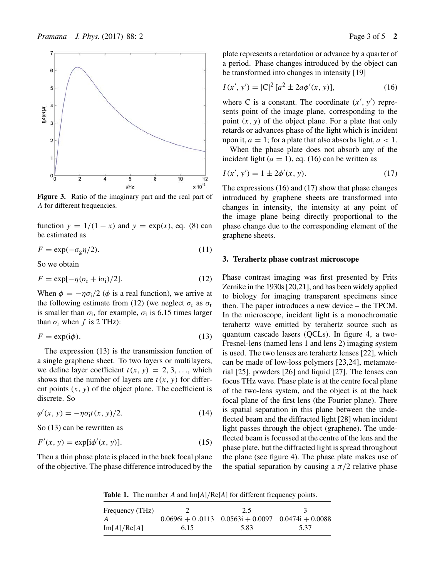

**Figure 3.** Ratio of the imaginary part and the real part of A for different frequencies.

function  $y = 1/(1 - x)$  and  $y = \exp(x)$ , eq. (8) can be estimated as

$$
F = \exp(-\sigma_g \eta/2). \tag{11}
$$

So we obtain

$$
F = \exp[-\eta(\sigma_{\rm r} + i\sigma_{\rm i})/2].\tag{12}
$$

When  $\phi = -\eta \sigma_i/2$  ( $\phi$  is a real function), we arrive at the following estimate from (12) (we neglect  $\sigma_r$  as  $\sigma_r$ is smaller than  $\sigma_i$ , for example,  $\sigma_i$  is 6.15 times larger than  $\sigma_r$  when f is 2 THz):

$$
F = \exp(i\phi). \tag{13}
$$

The expression (13) is the transmission function of a single graphene sheet. To two layers or multilayers, we define layer coefficient  $t(x, y) = 2, 3, \ldots$ , which shows that the number of layers are  $t(x, y)$  for different points  $(x, y)$  of the object plane. The coefficient is discrete. So

$$
\varphi'(x, y) = -\eta \sigma_1 t(x, y)/2. \tag{14}
$$

So (13) can be rewritten as

$$
F'(x, y) = \exp[i\phi'(x, y)].
$$
 (15)

Then a thin phase plate is placed in the back focal plane of the objective. The phase difference introduced by the plate represents a retardation or advance by a quarter of a period. Phase changes introduced by the object can be transformed into changes in intensity [19]

$$
I(x', y') = |C|^2 [a^2 \pm 2a\phi'(x, y)],
$$
 (16)

where C is a constant. The coordinate  $(x', y')$  represents point of the image plane, corresponding to the point  $(x, y)$  of the object plane. For a plate that only retards or advances phase of the light which is incident upon it,  $a = 1$ ; for a plate that also absorbs light,  $a < 1$ .

When the phase plate does not absorb any of the incident light ( $a = 1$ ), eq. (16) can be written as

$$
I(x', y') = 1 \pm 2\phi'(x, y). \tag{17}
$$

The expressions (16) and (17) show that phase changes introduced by graphene sheets are transformed into changes in intensity, the intensity at any point of the image plane being directly proportional to the phase change due to the corresponding element of the graphene sheets.

#### **3. Terahertz phase contrast microscope**

Phase contrast imaging was first presented by Frits Zernike in the 1930s [20,21], and has been widely applied to biology for imaging transparent specimens since then. The paper introduces a new device – the TPCM. In the microscope, incident light is a monochromatic terahertz wave emitted by terahertz source such as quantum cascade lasers (QCLs). In figure 4, a two-Fresnel-lens (named lens 1 and lens 2) imaging system is used. The two lenses are terahertz lenses [22], which can be made of low-loss polymers [23,24], metamaterial [25], powders [26] and liquid [27]. The lenses can focus THz wave. Phase plate is at the centre focal plane of the two-lens system, and the object is at the back focal plane of the first lens (the Fourier plane). There is spatial separation in this plane between the undeflected beam and the diffracted light [28] when incident light passes through the object (graphene). The undeflected beam is focussed at the centre of the lens and the phase plate, but the diffracted light is spread throughout the plane (see figure 4). The phase plate makes use of the spatial separation by causing a  $\pi/2$  relative phase

**Table 1.** The number A and Im[*A*]/Re[*A*] for different frequency points.

| Frequency (THz)  |      | 2.5                                                      |      |
|------------------|------|----------------------------------------------------------|------|
| $\boldsymbol{A}$ |      | $0.0696i + 0.0113$ $0.0563i + 0.0097$ $0.0474i + 0.0088$ |      |
| Im[A]/Re[A]      | 6.15 | 5.83                                                     | 5.37 |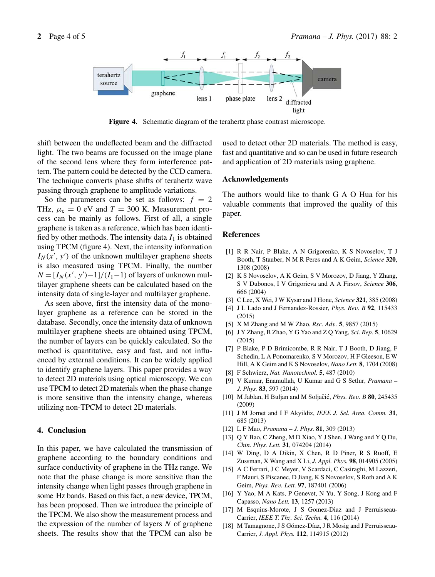

**Figure 4.** Schematic diagram of the terahertz phase contrast microscope.

shift between the undeflected beam and the diffracted light. The two beams are focussed on the image plane of the second lens where they form interference pattern. The pattern could be detected by the CCD camera. The technique converts phase shifts of terahertz wave passing through graphene to amplitude variations.

So the parameters can be set as follows:  $f = 2$ THz,  $\mu_c = 0$  eV and  $T = 300$  K. Measurement process can be mainly as follows. First of all, a single graphene is taken as a reference, which has been identified by other methods. The intensity data  $I_1$  is obtained using TPCM (figure 4). Next, the intensity information  $I_N(x', y')$  of the unknown multilayer graphene sheets is also measured using TPCM. Finally, the number  $N = [I_N(x', y') - 1]/(I_1 - 1)$  of layers of unknown multilayer graphene sheets can be calculated based on the intensity data of single-layer and multilayer graphene.

As seen above, first the intensity data of the monolayer graphene as a reference can be stored in the database. Secondly, once the intensity data of unknown multilayer graphene sheets are obtained using TPCM, the number of layers can be quickly calculated. So the method is quantitative, easy and fast, and not influenced by external conditions. It can be widely applied to identify graphene layers. This paper provides a way to detect 2D materials using optical microscopy. We can use TPCM to detect 2D materials when the phase change is more sensitive than the intensity change, whereas utilizing non-TPCM to detect 2D materials.

## **4. Conclusion**

In this paper, we have calculated the transmission of graphene according to the boundary conditions and surface conductivity of graphene in the THz range. We note that the phase change is more sensitive than the intensity change when light passes through graphene in some Hz bands. Based on this fact, a new device, TPCM, has been proposed. Then we introduce the principle of the TPCM. We also show the measurement process and the expression of the number of layers  $N$  of graphene sheets. The results show that the TPCM can also be used to detect other 2D materials. The method is easy, fast and quantitative and so can be used in future research and application of 2D materials using graphene.

## **Acknowledgements**

The authors would like to thank G A O Hua for his valuable comments that improved the quality of this paper.

#### **References**

- [1] R R Nair, P Blake, A N Grigorenko, K S Novoselov, T J Booth, T Stauber, N M R Peres and A K Geim, *Science* **320**, 1308 (2008)
- [2] K S Novoselov, A K Geim, S V Morozov, D Jiang, Y Zhang, S V Dubonos, I V Grigorieva and A A Firsov, *Science* **306**, 666 (2004)
- [3] C Lee, X Wei, J W Kysar and J Hone, *Science* **321**, 385 (2008)
- [4] J L Lado and J Fernandez-Rossier, *Phys. Re*v*. B* **92**, 115433 (2015)
- [5] X M Zhang and M W Zhao, *Rsc. Ad*v*.* **5**, 9857 (2015)
- [6] J Y Zhang, B Zhao, Y G Yao and Z Q Yang, *Sci. Rep.* **5**, 10629 (2015)
- [7] P Blake, P D Brimicombe, R R Nair, T J Booth, D Jiang, F Schedin, L A Ponomarenko, S V Morozov, H F Gleeson, E W Hill, A K Geim and K S Novoselov, *Nano Lett.* **8**, 1704 (2008)
- [8] F Schwierz, *Nat. Nanotechnol.* **5**, 487 (2010)
- [9] V Kumar, Enamullah, U Kumar and G S Setlur, *Pramana – J. Phys.* **83**, 597 (2014)
- [10] M Jablan, H Buljan and M Soljačić, *Phys. Rev. B* **80**, 245435 (2009)
- [11] J M Jornet and I F Akyildiz, *IEEE J. Sel. Area. Comm.* **31**, 685 (2013)
- [12] L F Mao, *Pramana J. Phys.* **81**, 309 (2013)
- [13] Q Y Bao, C Zheng, M D Xiao, Y J Shen, J Wang and Y Q Du, *Chin. Phys. Lett.* **31**, 074204 (2014)
- [14] W Ding, D A Dikin, X Chen, R D Piner, R S Ruoff, E Zussman, X Wang and X Li, *J. Appl. Phys.* **98**, 014905 (2005)
- [15] A C Ferrari, J C Meyer, V Scardaci, C Casiraghi, M Lazzeri, F Mauri, S Piscanec, D Jiang, K S Novoselov, S Roth and A K Geim, *Phys. Re*v*. Lett.* **97**, 187401 (2006)
- [16] Y Yao, M A Kats, P Genevet, N Yu, Y Song, J Kong and F Capasso, *Nano Lett.* **13**, 1257 (2013)
- [17] M Esquius-Morote, J S Gomez-Diaz and J Perruisseau-Carrier, *IEEE T. Thz. Sci. Techn.* **4**, 116 (2014)
- [18] M Tamagnone, J S Gómez-Díaz, J R Mosig and J Perruisseau-Carrier, *J. Appl. Phys.* **112**, 114915 (2012)